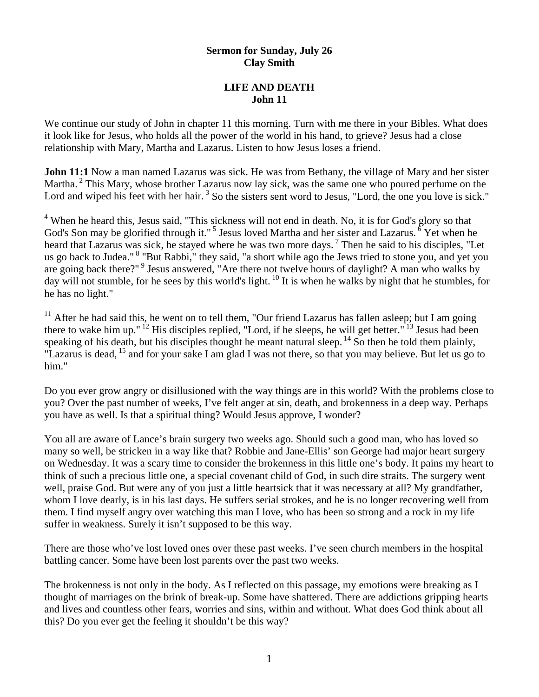### **Sermon for Sunday, July 26 Clay Smith**

### **LIFE AND DEATH John 11**

We continue our study of John in chapter 11 this morning. Turn with me there in your Bibles. What does it look like for Jesus, who holds all the power of the world in his hand, to grieve? Jesus had a close relationship with Mary, Martha and Lazarus. Listen to how Jesus loses a friend.

**John 11:1** Now a man named Lazarus was sick. He was from Bethany, the village of Mary and her sister Martha.<sup>2</sup> This Mary, whose brother Lazarus now lay sick, was the same one who poured perfume on the Lord and wiped his feet with her hair.<sup>3</sup> So the sisters sent word to Jesus, "Lord, the one you love is sick."

<sup>4</sup> When he heard this, Jesus said, "This sickness will not end in death. No, it is for God's glory so that God's Son may be glorified through it."<sup>5</sup> Jesus loved Martha and her sister and Lazarus.  $\delta$  Yet when he heard that Lazarus was sick, he stayed where he was two more days. 7 Then he said to his disciples, "Let us go back to Judea."<sup>8</sup> "But Rabbi," they said, "a short while ago the Jews tried to stone you, and yet you are going back there?"<sup>9</sup> Jesus answered, "Are there not twelve hours of daylight? A man who walks by day will not stumble, for he sees by this world's light. 10 It is when he walks by night that he stumbles, for he has no light."

<sup>11</sup> After he had said this, he went on to tell them, "Our friend Lazarus has fallen asleep; but I am going there to wake him up." 12 His disciples replied, "Lord, if he sleeps, he will get better." 13 Jesus had been speaking of his death, but his disciples thought he meant natural sleep. <sup>14</sup> So then he told them plainly, "Lazarus is dead, <sup>15</sup> and for your sake I am glad I was not there, so that you may believe. But let us go to him."

Do you ever grow angry or disillusioned with the way things are in this world? With the problems close to you? Over the past number of weeks, I've felt anger at sin, death, and brokenness in a deep way. Perhaps you have as well. Is that a spiritual thing? Would Jesus approve, I wonder?

You all are aware of Lance's brain surgery two weeks ago. Should such a good man, who has loved so many so well, be stricken in a way like that? Robbie and Jane-Ellis' son George had major heart surgery on Wednesday. It was a scary time to consider the brokenness in this little one's body. It pains my heart to think of such a precious little one, a special covenant child of God, in such dire straits. The surgery went well, praise God. But were any of you just a little heartsick that it was necessary at all? My grandfather, whom I love dearly, is in his last days. He suffers serial strokes, and he is no longer recovering well from them. I find myself angry over watching this man I love, who has been so strong and a rock in my life suffer in weakness. Surely it isn't supposed to be this way.

There are those who've lost loved ones over these past weeks. I've seen church members in the hospital battling cancer. Some have been lost parents over the past two weeks.

The brokenness is not only in the body. As I reflected on this passage, my emotions were breaking as I thought of marriages on the brink of break-up. Some have shattered. There are addictions gripping hearts and lives and countless other fears, worries and sins, within and without. What does God think about all this? Do you ever get the feeling it shouldn't be this way?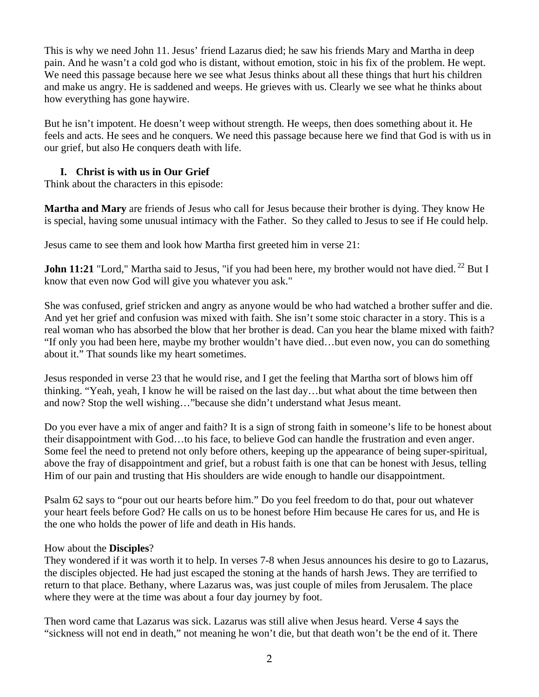This is why we need John 11. Jesus' friend Lazarus died; he saw his friends Mary and Martha in deep pain. And he wasn't a cold god who is distant, without emotion, stoic in his fix of the problem. He wept. We need this passage because here we see what Jesus thinks about all these things that hurt his children and make us angry. He is saddened and weeps. He grieves with us. Clearly we see what he thinks about how everything has gone haywire.

But he isn't impotent. He doesn't weep without strength. He weeps, then does something about it. He feels and acts. He sees and he conquers. We need this passage because here we find that God is with us in our grief, but also He conquers death with life.

## **I. Christ is with us in Our Grief**

Think about the characters in this episode:

**Martha and Mary** are friends of Jesus who call for Jesus because their brother is dying. They know He is special, having some unusual intimacy with the Father. So they called to Jesus to see if He could help.

Jesus came to see them and look how Martha first greeted him in verse 21:

**John 11:21** "Lord," Martha said to Jesus, "if you had been here, my brother would not have died.<sup>22</sup> But I know that even now God will give you whatever you ask."

She was confused, grief stricken and angry as anyone would be who had watched a brother suffer and die. And yet her grief and confusion was mixed with faith. She isn't some stoic character in a story. This is a real woman who has absorbed the blow that her brother is dead. Can you hear the blame mixed with faith? "If only you had been here, maybe my brother wouldn't have died…but even now, you can do something about it." That sounds like my heart sometimes.

Jesus responded in verse 23 that he would rise, and I get the feeling that Martha sort of blows him off thinking. "Yeah, yeah, I know he will be raised on the last day…but what about the time between then and now? Stop the well wishing…"because she didn't understand what Jesus meant.

Do you ever have a mix of anger and faith? It is a sign of strong faith in someone's life to be honest about their disappointment with God…to his face, to believe God can handle the frustration and even anger. Some feel the need to pretend not only before others, keeping up the appearance of being super-spiritual, above the fray of disappointment and grief, but a robust faith is one that can be honest with Jesus, telling Him of our pain and trusting that His shoulders are wide enough to handle our disappointment.

Psalm 62 says to "pour out our hearts before him." Do you feel freedom to do that, pour out whatever your heart feels before God? He calls on us to be honest before Him because He cares for us, and He is the one who holds the power of life and death in His hands.

### How about the **Disciples**?

They wondered if it was worth it to help. In verses 7-8 when Jesus announces his desire to go to Lazarus, the disciples objected. He had just escaped the stoning at the hands of harsh Jews. They are terrified to return to that place. Bethany, where Lazarus was, was just couple of miles from Jerusalem. The place where they were at the time was about a four day journey by foot.

Then word came that Lazarus was sick. Lazarus was still alive when Jesus heard. Verse 4 says the "sickness will not end in death," not meaning he won't die, but that death won't be the end of it. There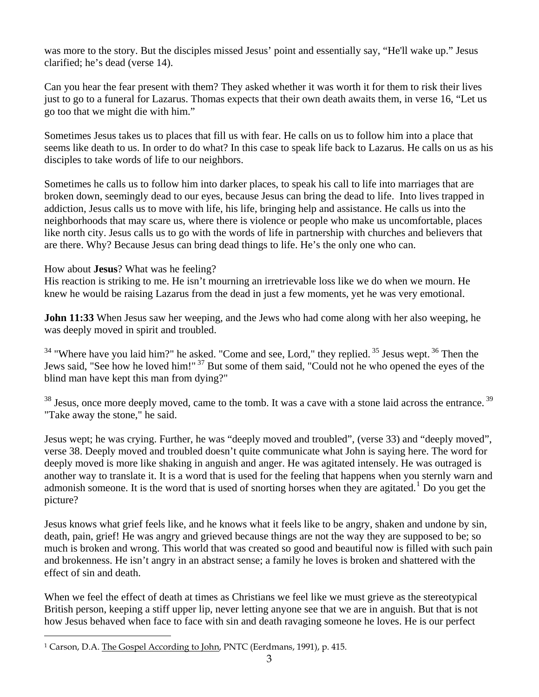was more to the story. But the disciples missed Jesus' point and essentially say, "He'll wake up." Jesus clarified; he's dead (verse 14).

Can you hear the fear present with them? They asked whether it was worth it for them to risk their lives just to go to a funeral for Lazarus. Thomas expects that their own death awaits them, in verse 16, "Let us go too that we might die with him."

Sometimes Jesus takes us to places that fill us with fear. He calls on us to follow him into a place that seems like death to us. In order to do what? In this case to speak life back to Lazarus. He calls on us as his disciples to take words of life to our neighbors.

Sometimes he calls us to follow him into darker places, to speak his call to life into marriages that are broken down, seemingly dead to our eyes, because Jesus can bring the dead to life. Into lives trapped in addiction, Jesus calls us to move with life, his life, bringing help and assistance. He calls us into the neighborhoods that may scare us, where there is violence or people who make us uncomfortable, places like north city. Jesus calls us to go with the words of life in partnership with churches and believers that are there. Why? Because Jesus can bring dead things to life. He's the only one who can.

How about **Jesus**? What was he feeling?

His reaction is striking to me. He isn't mourning an irretrievable loss like we do when we mourn. He knew he would be raising Lazarus from the dead in just a few moments, yet he was very emotional.

**John 11:33** When Jesus saw her weeping, and the Jews who had come along with her also weeping, he was deeply moved in spirit and troubled.

 $34$  "Where have you laid him?" he asked. "Come and see, Lord," they replied.  $35$  Jesus wept.  $36$  Then the Jews said, "See how he loved him!" <sup>37</sup> But some of them said, "Could not he who opened the eyes of the blind man have kept this man from dying?"

 $38$  Jesus, once more deeply moved, came to the tomb. It was a cave with a stone laid across the entrance.  $39$ "Take away the stone," he said.

Jesus wept; he was crying. Further, he was "deeply moved and troubled", (verse 33) and "deeply moved", verse 38. Deeply moved and troubled doesn't quite communicate what John is saying here. The word for deeply moved is more like shaking in anguish and anger. He was agitated intensely. He was outraged is another way to translate it. It is a word that is used for the feeling that happens when you sternly warn and admonish someone. It is the word that is used of snorting horses when they are agitated.<sup>[1](#page-2-0)</sup> Do you get the picture?

Jesus knows what grief feels like, and he knows what it feels like to be angry, shaken and undone by sin, death, pain, grief! He was angry and grieved because things are not the way they are supposed to be; so much is broken and wrong. This world that was created so good and beautiful now is filled with such pain and brokenness. He isn't angry in an abstract sense; a family he loves is broken and shattered with the effect of sin and death.

When we feel the effect of death at times as Christians we feel like we must grieve as the stereotypical British person, keeping a stiff upper lip, never letting anyone see that we are in anguish. But that is not how Jesus behaved when face to face with sin and death ravaging someone he loves. He is our perfect

 $\overline{a}$ 

<span id="page-2-0"></span><sup>1</sup> Carson, D.A. The Gospel According to John, PNTC (Eerdmans, 1991), p. 415.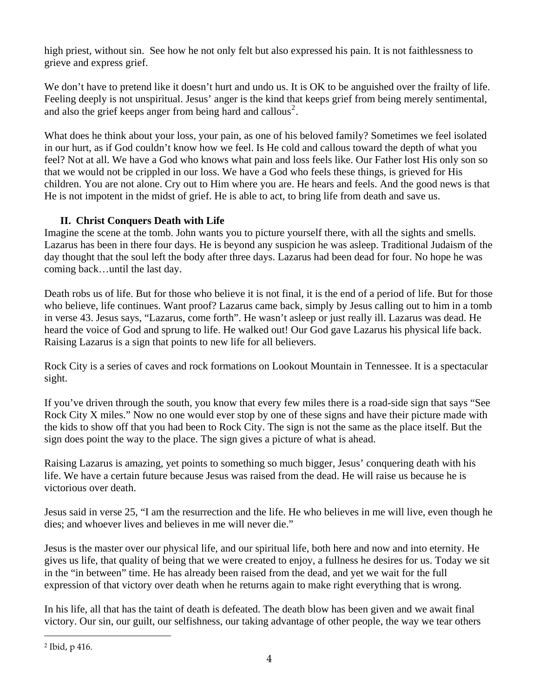high priest, without sin. See how he not only felt but also expressed his pain. It is not faithlessness to grieve and express grief.

We don't have to pretend like it doesn't hurt and undo us. It is OK to be anguished over the frailty of life. Feeling deeply is not unspiritual. Jesus' anger is the kind that keeps grief from being merely sentimental, and also the grief keeps anger from being hard and callous<sup>[2](#page-3-0)</sup>.

What does he think about your loss, your pain, as one of his beloved family? Sometimes we feel isolated in our hurt, as if God couldn't know how we feel. Is He cold and callous toward the depth of what you feel? Not at all. We have a God who knows what pain and loss feels like. Our Father lost His only son so that we would not be crippled in our loss. We have a God who feels these things, is grieved for His children. You are not alone. Cry out to Him where you are. He hears and feels. And the good news is that He is not impotent in the midst of grief. He is able to act, to bring life from death and save us.

# **II. Christ Conquers Death with Life**

Imagine the scene at the tomb. John wants you to picture yourself there, with all the sights and smells. Lazarus has been in there four days. He is beyond any suspicion he was asleep. Traditional Judaism of the day thought that the soul left the body after three days. Lazarus had been dead for four. No hope he was coming back…until the last day.

Death robs us of life. But for those who believe it is not final, it is the end of a period of life. But for those who believe, life continues. Want proof? Lazarus came back, simply by Jesus calling out to him in a tomb in verse 43. Jesus says, "Lazarus, come forth". He wasn't asleep or just really ill. Lazarus was dead. He heard the voice of God and sprung to life. He walked out! Our God gave Lazarus his physical life back. Raising Lazarus is a sign that points to new life for all believers.

Rock City is a series of caves and rock formations on Lookout Mountain in Tennessee. It is a spectacular sight.

If you've driven through the south, you know that every few miles there is a road-side sign that says "See Rock City X miles." Now no one would ever stop by one of these signs and have their picture made with the kids to show off that you had been to Rock City. The sign is not the same as the place itself. But the sign does point the way to the place. The sign gives a picture of what is ahead.

Raising Lazarus is amazing, yet points to something so much bigger, Jesus' conquering death with his life. We have a certain future because Jesus was raised from the dead. He will raise us because he is victorious over death.

Jesus said in verse 25, "I am the resurrection and the life. He who believes in me will live, even though he dies; and whoever lives and believes in me will never die."

Jesus is the master over our physical life, and our spiritual life, both here and now and into eternity. He gives us life, that quality of being that we were created to enjoy, a fullness he desires for us. Today we sit in the "in between" time. He has already been raised from the dead, and yet we wait for the full expression of that victory over death when he returns again to make right everything that is wrong.

In his life, all that has the taint of death is defeated. The death blow has been given and we await final victory. Our sin, our guilt, our selfishness, our taking advantage of other people, the way we tear others

 $\overline{a}$ 

<span id="page-3-0"></span><sup>2</sup> Ibid, p 416.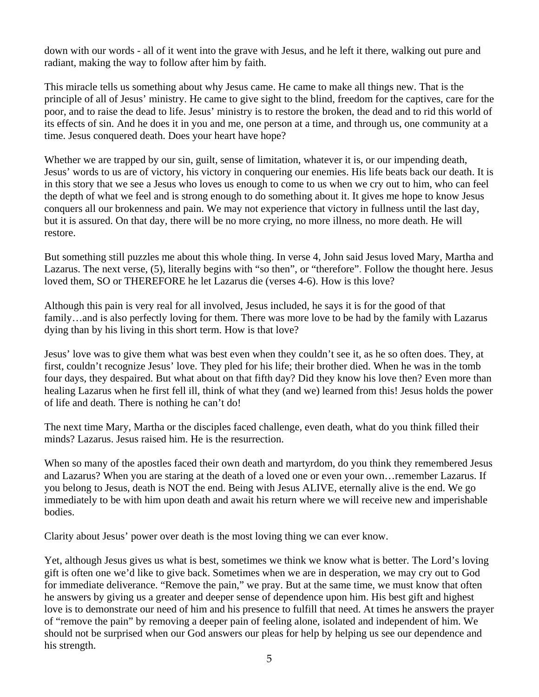down with our words - all of it went into the grave with Jesus, and he left it there, walking out pure and radiant, making the way to follow after him by faith.

This miracle tells us something about why Jesus came. He came to make all things new. That is the principle of all of Jesus' ministry. He came to give sight to the blind, freedom for the captives, care for the poor, and to raise the dead to life. Jesus' ministry is to restore the broken, the dead and to rid this world of its effects of sin. And he does it in you and me, one person at a time, and through us, one community at a time. Jesus conquered death. Does your heart have hope?

Whether we are trapped by our sin, guilt, sense of limitation, whatever it is, or our impending death, Jesus' words to us are of victory, his victory in conquering our enemies. His life beats back our death. It is in this story that we see a Jesus who loves us enough to come to us when we cry out to him, who can feel the depth of what we feel and is strong enough to do something about it. It gives me hope to know Jesus conquers all our brokenness and pain. We may not experience that victory in fullness until the last day, but it is assured. On that day, there will be no more crying, no more illness, no more death. He will restore.

But something still puzzles me about this whole thing. In verse 4, John said Jesus loved Mary, Martha and Lazarus. The next verse, (5), literally begins with "so then", or "therefore". Follow the thought here. Jesus loved them, SO or THEREFORE he let Lazarus die (verses 4-6). How is this love?

Although this pain is very real for all involved, Jesus included, he says it is for the good of that family…and is also perfectly loving for them. There was more love to be had by the family with Lazarus dying than by his living in this short term. How is that love?

Jesus' love was to give them what was best even when they couldn't see it, as he so often does. They, at first, couldn't recognize Jesus' love. They pled for his life; their brother died. When he was in the tomb four days, they despaired. But what about on that fifth day? Did they know his love then? Even more than healing Lazarus when he first fell ill, think of what they (and we) learned from this! Jesus holds the power of life and death. There is nothing he can't do!

The next time Mary, Martha or the disciples faced challenge, even death, what do you think filled their minds? Lazarus. Jesus raised him. He is the resurrection.

When so many of the apostles faced their own death and martyrdom, do you think they remembered Jesus and Lazarus? When you are staring at the death of a loved one or even your own…remember Lazarus. If you belong to Jesus, death is NOT the end. Being with Jesus ALIVE, eternally alive is the end. We go immediately to be with him upon death and await his return where we will receive new and imperishable bodies.

Clarity about Jesus' power over death is the most loving thing we can ever know.

Yet, although Jesus gives us what is best, sometimes we think we know what is better. The Lord's loving gift is often one we'd like to give back. Sometimes when we are in desperation, we may cry out to God for immediate deliverance. "Remove the pain," we pray. But at the same time, we must know that often he answers by giving us a greater and deeper sense of dependence upon him. His best gift and highest love is to demonstrate our need of him and his presence to fulfill that need. At times he answers the prayer of "remove the pain" by removing a deeper pain of feeling alone, isolated and independent of him. We should not be surprised when our God answers our pleas for help by helping us see our dependence and his strength.